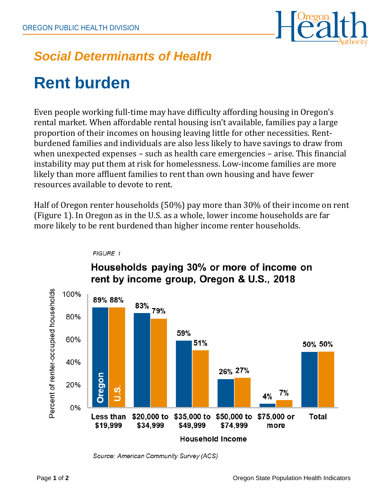

## *Social Determinants of Health*

# **Rent burden**

Even people working full-time may have difficulty affording housing in Oregon's rental market. When affordable rental housing isn't available, families pay a large proportion of their incomes on housing leaving little for other necessities. Rentburdened families and individuals are also less likely to have savings to draw from when unexpected expenses – such as health care emergencies – arise. This financial instability may put them at risk for homelessness. Low-income families are more likely than more affluent families to rent than own housing and have fewer resources available to devote to rent.

Half of Oregon renter households (50%) pay more than 30% of their income on rent (Figure 1). In Oregon as in the U.S. as a whole, lower income households are far more likely to be rent burdened than higher income renter households.



#### FIGURE 1

### Households paying 30% or more of income on rent by income group, Oregon & U.S., 2018

Source: American Community Survey (ACS)